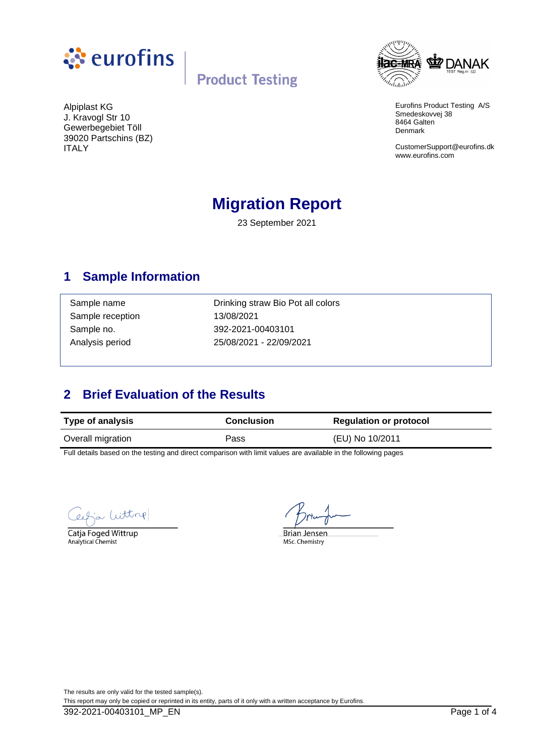



Eurofins Product Testing A/S Smedeskovvej 38 8464 Galten Denmark

CustomerSupport@eurofins.dk www.eurofins.com

Alpiplast KG J. Kravogl Str 10 Gewerbegebiet Töll 39020 Partschins (BZ) ITALY

# **Migration Report**

23 September 2021

### **1 Sample Information**

Sample reception 13/08/2021

Sample name **Drinking straw Bio Pot all colors** Sample no. 392-2021-00403101 Analysis period 25/08/2021 - 22/09/2021

## **2 Brief Evaluation of the Results**

| <b>Type of analysis</b> | <b>Conclusion</b> | <b>Regulation or protocol</b> |  |
|-------------------------|-------------------|-------------------------------|--|
| Overall migration       | Pass              | (EU) No 10/2011               |  |

Full details based on the testing and direct comparison with limit values are available in the following pages

Witting

Catja Foged Wittrup Analytical Chemist

**Brian Jensen** MSc. Chemistry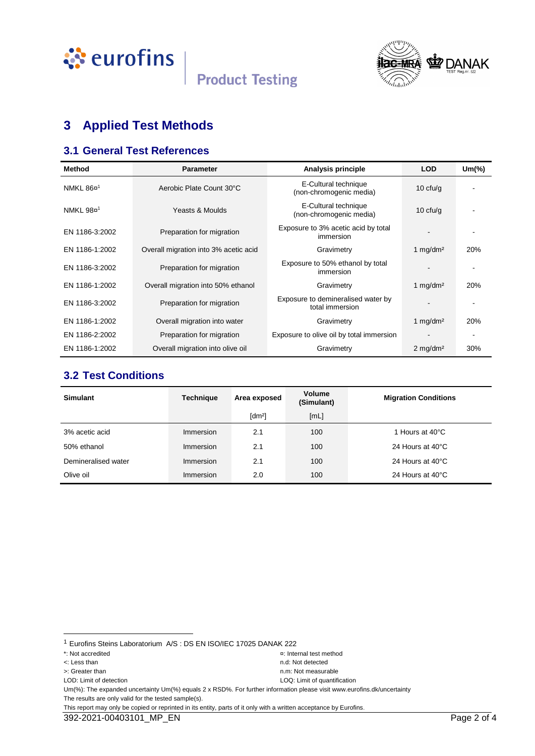



# **3 Applied Test Methods**

#### **3.1 General Test References**

| <b>Method</b>         | <b>Parameter</b>                      | Analysis principle                                    | <b>LOD</b>             | $Um$ $\%$ |
|-----------------------|---------------------------------------|-------------------------------------------------------|------------------------|-----------|
| NMKL 86¤ <sup>1</sup> | Aerobic Plate Count 30°C              | E-Cultural technique<br>(non-chromogenic media)       | 10 $ctu/g$             |           |
| NMKL 98¤ <sup>1</sup> | Yeasts & Moulds                       | E-Cultural technique<br>(non-chromogenic media)       | 10 $ctu/g$             |           |
| EN 1186-3:2002        | Preparation for migration             | Exposure to 3% acetic acid by total<br>immersion      |                        |           |
| EN 1186-1:2002        | Overall migration into 3% acetic acid | Gravimetry                                            | 1 $mq/dm^2$            | 20%       |
| EN 1186-3:2002        | Preparation for migration             | Exposure to 50% ethanol by total<br>immersion         |                        |           |
| EN 1186-1:2002        | Overall migration into 50% ethanol    | Gravimetry                                            | 1 mg/dm <sup>2</sup>   | 20%       |
| EN 1186-3:2002        | Preparation for migration             | Exposure to demineralised water by<br>total immersion |                        |           |
| EN 1186-1:2002        | Overall migration into water          | Gravimetry                                            | 1 mg/dm <sup>2</sup>   | 20%       |
| EN 1186-2:2002        | Preparation for migration             | Exposure to olive oil by total immersion              |                        |           |
| EN 1186-1:2002        | Overall migration into olive oil      | Gravimetry                                            | $2$ mg/dm <sup>2</sup> | 30%       |

#### **3.2 Test Conditions**

| <b>Simulant</b>     | <b>Technique</b> | Area exposed         | <b>Volume</b><br>(Simulant) | <b>Migration Conditions</b> |
|---------------------|------------------|----------------------|-----------------------------|-----------------------------|
|                     |                  | $\lceil dm^2 \rceil$ | [ML]                        |                             |
| 3% acetic acid      | Immersion        | 2.1                  | 100                         | 1 Hours at 40°C             |
| 50% ethanol         | Immersion        | 2.1                  | 100                         | 24 Hours at 40°C            |
| Demineralised water | Immersion        | 2.1                  | 100                         | 24 Hours at 40°C            |
| Olive oil           | Immersion        | 2.0                  | 100                         | 24 Hours at 40°C            |

l

<sup>1</sup> Eurofins Steins Laboratorium A/S : DS EN ISO/IEC 17025 DANAK 222

<sup>\*:</sup> Not accredited ¤: Internal test method

<sup>&</sup>lt;: Less than n.d: Not detected

LOD: Limit of detection LOQ: Limit of quantification

<sup>&</sup>gt;: Greater than n.m: Not measurable

Um(%): The expanded uncertainty Um(%) equals 2 x RSD%. For further information please visit www.eurofins.dk/uncertainty The results are only valid for the tested sample(s).

This report may only be copied or reprinted in its entity, parts of it only with a written acceptance by Eurofins.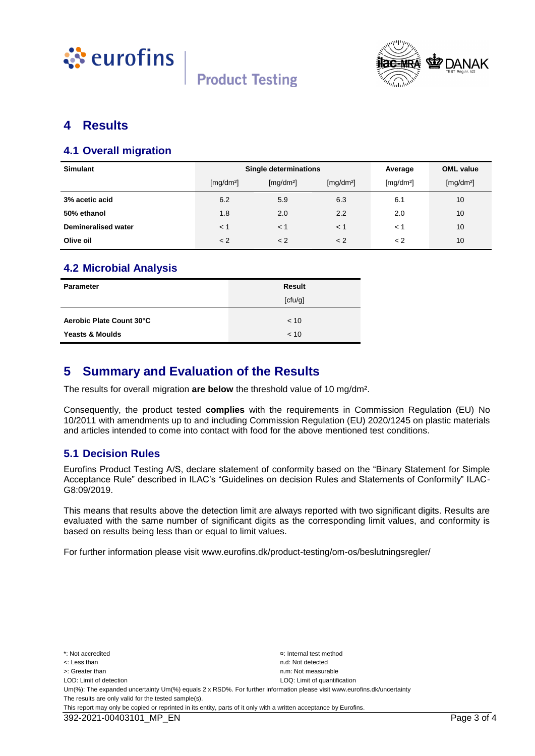



#### **4 Results**

#### **4.1 Overall migration**

| <b>Simulant</b>            | <b>Single determinations</b> |                       |                       | Average               | <b>OML</b> value      |
|----------------------------|------------------------------|-----------------------|-----------------------|-----------------------|-----------------------|
|                            | [mg/dm <sup>2</sup> ]        | [mg/dm <sup>2</sup> ] | [mg/dm <sup>2</sup> ] | [mg/dm <sup>2</sup> ] | [mg/dm <sup>2</sup> ] |
| 3% acetic acid             | 6.2                          | 5.9                   | 6.3                   | 6.1                   | 10                    |
| 50% ethanol                | 1.8                          | 2.0                   | 2.2                   | 2.0                   | 10 <sup>°</sup>       |
| <b>Demineralised water</b> | < 1                          | < 1                   | $<$ 1                 | < 1                   | 10                    |
| Olive oil                  | < 2                          | < 2                   | < 2                   | < 2                   | 10                    |

#### **4.2 Microbial Analysis**

| Parameter                  | <b>Result</b> |
|----------------------------|---------------|
|                            | [ctu/g]       |
| Aerobic Plate Count 30°C   | < 10          |
| <b>Yeasts &amp; Moulds</b> | < 10          |

#### **5 Summary and Evaluation of the Results**

The results for overall migration **are below** the threshold value of 10 mg/dm².

Consequently, the product tested **complies** with the requirements in Commission Regulation (EU) No 10/2011 with amendments up to and including Commission Regulation (EU) 2020/1245 on plastic materials and articles intended to come into contact with food for the above mentioned test conditions.

#### **5.1 Decision Rules**

Eurofins Product Testing A/S, declare statement of conformity based on the "Binary Statement for Simple Acceptance Rule" described in ILAC's "Guidelines on decision Rules and Statements of Conformity" ILAC-G8:09/2019.

This means that results above the detection limit are always reported with two significant digits. Results are evaluated with the same number of significant digits as the corresponding limit values, and conformity is based on results being less than or equal to limit values.

For further information please visit www.eurofins.dk/product-testing/om-os/beslutningsregler/

\*: Not accredited ¤: Internal test method <: Less than n.d: Not detected >: Greater than next measurable than  $n \times 1$  is the measurable measurable n.m: Not measurable LOD: Limit of detection LOD: Limit of detection LOD: Limit of quantification Um(%): The expanded uncertainty Um(%) equals 2 x RSD%. For further information please visit www.eurofins.dk/uncertainty The results are only valid for the tested sample(s). This report may only be copied or reprinted in its entity, parts of it only with a written acceptance by Eurofins.